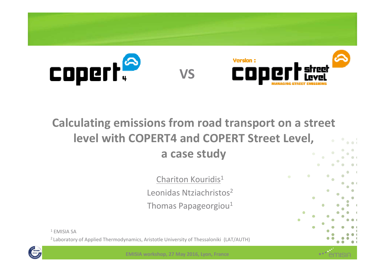

### **Calculating emissions from road transport on a street level with COPERT4 and COPERT Street Level,a case study**

Chariton Kouridis $^1$ Leonidas Ntziachristos<sup>2</sup> Thomas Papageorgiou $^{\rm 1}$ 

1 EMISIA SA

<sup>2</sup> Laboratory of Applied Thermodynamics, Aristotle University of Thessaloniki (LAT/AUTH)



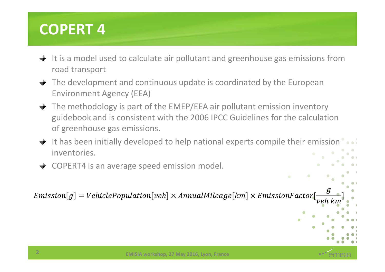# **COPERT 4**

- $\rightarrow$  It is a model used to calculate air pollutant and greenhouse gas emissions from road transport
- $\rightarrow$  The development and continuous update is coordinated by the European Environment Agency (EEA)
- $\rightarrow$  The methodology is part of the EMEP/EEA air pollutant emission inventory guidebook and is consistent with the 2006 IPCC Guidelines for the calculation of greenhouse gas emissions.
- $\rightarrow$  It has been initially developed to help national experts compile their emission inventories.
- COPERT4 is an average speed emission model.

 $Emission[g] = VehiclePopulation[veh] \times Annual Mileage[km] \times EmissionFactor$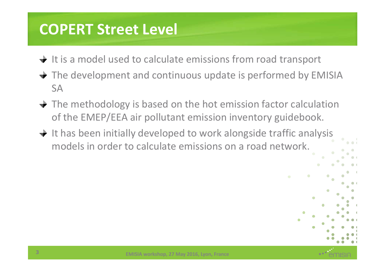## **COPERT Street Level**

- $\rightarrow$  It is a model used to calculate emissions from road transport
- **→** The development and continuous update is performed by EMISIA SA
- $\rightarrow$  The methodology is based on the hot emission factor calculation of the EMEP/EEA air pollutant emission inventory guidebook.
- $\rightarrow$  It has been initially developed to work alongside traffic analysis models in order to calculate emissions on a road network.

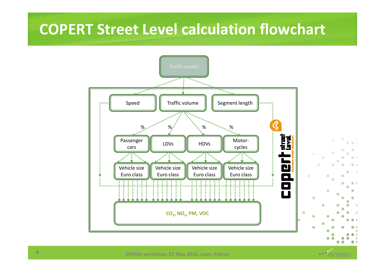### **COPERT Street Level calculation flowchart**



emisiA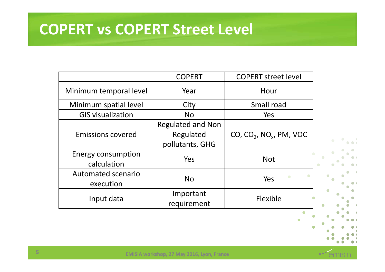### **COPERT vs COPERT Street Level**

|                                          | <b>COPERT</b>                                            | <b>COPERT street level</b>             |   |
|------------------------------------------|----------------------------------------------------------|----------------------------------------|---|
| Minimum temporal level                   | Year                                                     | Hour                                   |   |
| Minimum spatial level                    | City                                                     | Small road                             |   |
| <b>GIS visualization</b>                 | <b>No</b>                                                | Yes                                    |   |
| <b>Emissions covered</b>                 | <b>Regulated and Non</b><br>Regulated<br>pollutants, GHG | CO, $CO_2$ , NO <sub>x</sub> , PM, VOC |   |
| <b>Energy consumption</b><br>calculation | Yes                                                      | <b>Not</b>                             |   |
| Automated scenario<br>execution          | <b>No</b>                                                | Yes                                    |   |
| Input data                               | Important<br>requirement                                 | Flexible                               | ۵ |



NISIA

 $\blacksquare$ ٠

 $\alpha$  )

 $\sim$   $\sim$  $\bullet$   $\bullet$   $\bullet$ 

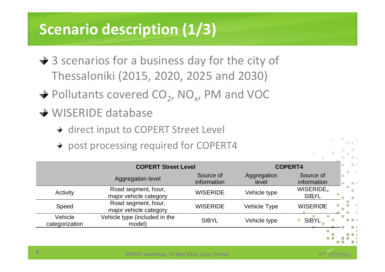# **Scenario description (1/3)**

- $\div$  3 scenarios for a business day for the city of Thessaloniki (2015, 2020, 2025 and 2030)
- Pollutants covered CO<sub>2</sub>, NO<sub>x</sub>, PM and VOC
- **→ WISERIDE database** 
	- + direct input to COPERT Street Level
	- + post processing required for COPERT4

|                           | <b>COPERT Street Level</b>                    |                          | <b>COPERT4</b>       |                           |
|---------------------------|-----------------------------------------------|--------------------------|----------------------|---------------------------|
|                           | Aggregation level                             | Source of<br>information | Aggregation<br>level | Source of<br>information  |
| Activity                  | Road segment, hour,<br>major vehicle category | <b>WISERIDE</b>          | Vehicle type         | WISERIDE.<br><b>SIBYL</b> |
| Speed                     | Road segment, hour,<br>major vehicle category | <b>WISERIDE</b>          | Vehicle Type         | <b>WISERIDE</b>           |
| Vehicle<br>categorization | Vehicle type (included in the<br>model)       | <b>SIBYL</b>             | Vehicle type         | <b>SIBYL</b>              |
|                           |                                               |                          |                      |                           |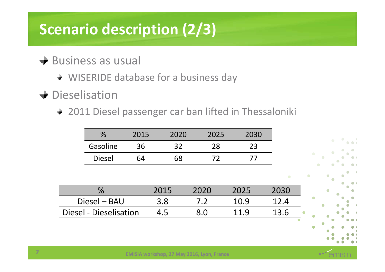# **Scenario description (2/3)**

#### $\div$  Business as usual

- WISERIDE database for a business day
- $\rightarrow$  Dieselisation
	- + 2011 Diesel passenger car ban lifted in Thessaloniki

| %             | 2015 | 2020 | 2025 | 2030 |           |
|---------------|------|------|------|------|-----------|
| Gasoline      | 36   | 32   | 28   | 23   |           |
| <b>Diesel</b> | 64   | 68   | 72   | 77   |           |
|               |      |      |      |      |           |
|               |      |      |      |      | $\bullet$ |
| $\%$          |      | 2015 | 2020 | 2025 | 2030      |
| Diesel - BAU  |      | 3.8  | 7.2  | 10.9 | 12.4      |
|               |      |      |      |      |           |



13.6



Diesel - Dieselisation 4.5 8.0 11.9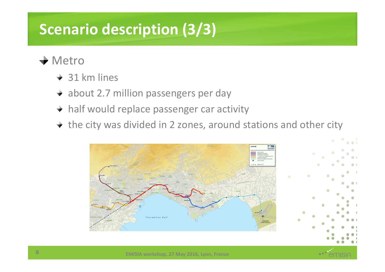# **Scenario description (3/3)**

#### $\div$  Metro

- + 31 km lines
- + about 2.7 million passengers per day
- half would replace passenger car activity
- $\div$  the city was divided in 2 zones, around stations and other city

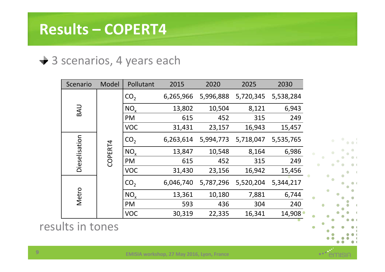## **Results – COPERT4**

#### **→ 3 scenarios, 4 years each**

| Scenario      | Model   | Pollutant       | 2015      | 2020      | 2025      | 2030      |  |
|---------------|---------|-----------------|-----------|-----------|-----------|-----------|--|
|               |         | CO <sub>2</sub> | 6,265,966 | 5,996,888 | 5,720,345 | 5,538,284 |  |
| <b>UAS</b>    |         | NO <sub>v</sub> | 13,802    | 10,504    | 8,121     | 6,943     |  |
|               |         | PM              | 615       | 452       | 315       | 249       |  |
|               |         | <b>VOC</b>      | 31,431    | 23,157    | 16,943    | 15,457    |  |
| Dieselisation |         | CO <sub>2</sub> | 6,263,614 | 5,994,773 | 5,718,047 | 5,535,765 |  |
|               | COPERT4 | $NO_{v}$        | 13,847    | 10,548    | 8,164     | 6,986     |  |
|               |         | <b>PM</b>       | 615       | 452       | 315       | 249       |  |
|               |         | <b>VOC</b>      | 31,430    | 23,156    | 16,942    | 15,456    |  |
|               |         | CO <sub>2</sub> | 6,046,740 | 5,787,296 | 5,520,204 | 5,344,217 |  |
| Metro         |         | $NO_{v}$        | 13,361    | 10,180    | 7,881     | 6,744     |  |
|               |         | <b>PM</b>       | 593       | 436       | 304       | 240       |  |
|               |         | <b>VOC</b>      | 30,319    | 22,335    | 16,341    | 14,908    |  |

results in tones

a a f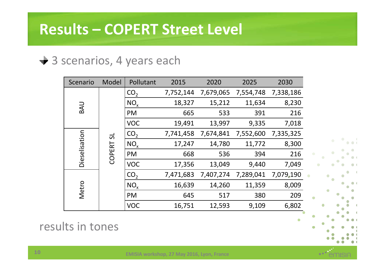#### **→ 3 scenarios, 4 years each**

| Scenario      | Model  | Pollutant       | 2015      | 2020      | 2025      | 2030      |
|---------------|--------|-----------------|-----------|-----------|-----------|-----------|
|               |        | CO <sub>2</sub> | 7,752,144 | 7,679,065 | 7,554,748 | 7,338,186 |
| <b>UAS</b>    |        | $NO_{x}$        | 18,327    | 15,212    | 11,634    | 8,230     |
|               |        | PM              | 665       | 533       | 391       | 216       |
|               |        | <b>VOC</b>      | 19,491    | 13,997    | 9,335     | 7,018     |
|               | 5      | CO <sub>2</sub> | 7,741,458 | 7,674,841 | 7,552,600 | 7,335,325 |
| Dieselisation |        | $NO_{x}$        | 17,247    | 14,780    | 11,772    | 8,300     |
|               | COPERT | PM              | 668       | 536       | 394       | 216       |
|               |        | <b>VOC</b>      | 17,356    | 13,049    | 9,440     | 7,049     |
|               |        | CO <sub>2</sub> | 7,471,683 | 7,407,274 | 7,289,041 | 7,079,190 |
| Metro         |        | NO <sub>x</sub> | 16,639    | 14,260    | 11,359    | 8,009     |
|               |        | PM              | 645       | 517       | 380       | 209       |
|               |        | <b>VOC</b>      | 16,751    | 12,593    | 9,109     | 6,802     |

results in tones



a a l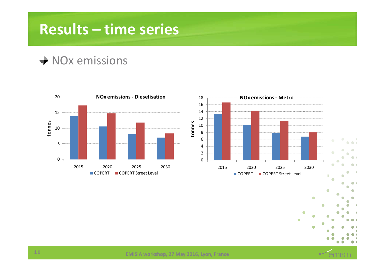## **Results – time series**

#### $\rightarrow$  NOx emissions



۵

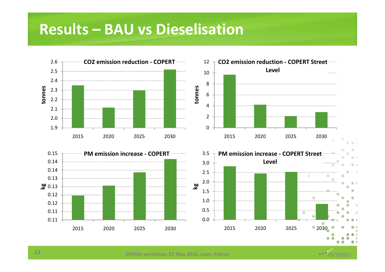### **Results – BAU vs Dieselisation**

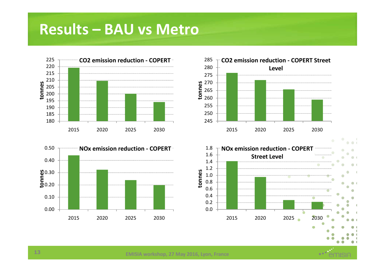### **Results – BAU vs Metro**









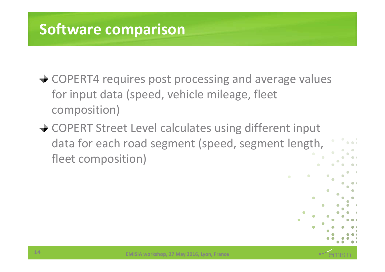# **Software comparison**

- **→ COPERT4 requires post processing and average values** for input data (speed, vehicle mileage, fleet composition)
- **→ COPERT Street Level calculates using different input** data for each road segment (speed, segment length, fleet composition)



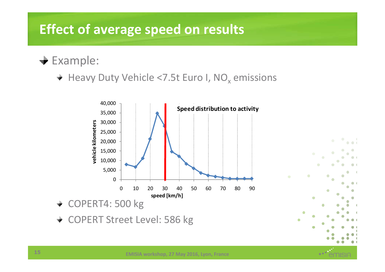### **Effect of average speed on results**

 $\div$  Example:

Heavy Duty Vehicle <7.5t Euro I,  $\rm NO_x$  emissions



+ COPERT Street Level: 586 kg

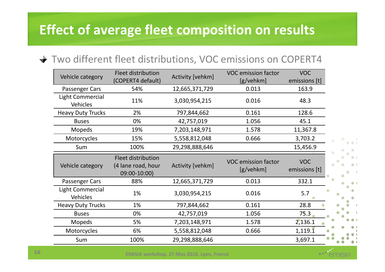### **Effect of average fleet composition on results**

#### Two different fleet distributions, VOC emissions on COPERT4

| Vehicle category                           | Fleet distribution<br>(COPERT4 default)                  | Activity [vehkm] | <b>VOC emission factor</b><br>[g/vehkm] | <b>VOC</b><br>emissions [t] |  |
|--------------------------------------------|----------------------------------------------------------|------------------|-----------------------------------------|-----------------------------|--|
| Passenger Cars                             | 54%                                                      | 12,665,371,729   | 0.013                                   | 163.9                       |  |
| <b>Light Commercial</b><br><b>Vehicles</b> | 11%                                                      | 3,030,954,215    | 0.016                                   | 48.3                        |  |
| <b>Heavy Duty Trucks</b>                   | 2%                                                       | 797,844,662      | 0.161                                   | 128.6                       |  |
| <b>Buses</b>                               | 0%                                                       | 42,757,019       | 1.056                                   | 45.1                        |  |
| <b>Mopeds</b>                              | 19%                                                      | 7,203,148,971    | 1.578                                   | 11,367.8                    |  |
| Motorcycles                                | 15%                                                      | 5,558,812,048    | 0.666                                   | 3,703.2                     |  |
| Sum                                        | 100%                                                     | 29,298,888,646   |                                         | 15,456.9                    |  |
| Vehicle category                           | Fleet distribution<br>(4 lane road, hour<br>09:00-10:00) | Activity [vehkm] | <b>VOC emission factor</b><br>[g/vehkm] | <b>VOC</b><br>emissions [t] |  |
| Passenger Cars                             | 88%                                                      | 12,665,371,729   | 0.013                                   | 332.1                       |  |
| <b>Light Commercial</b><br><b>Vehicles</b> | 1%                                                       | 3,030,954,215    | 0.016                                   | 5.7                         |  |
| <b>Heavy Duty Trucks</b>                   | 1%                                                       | 797,844,662      | 0.161                                   | 28.8                        |  |
| <b>Buses</b>                               | 0%                                                       | 42,757,019       | 1.056                                   | 75.3                        |  |
| <b>Mopeds</b>                              | 5%                                                       | 7,203,148,971    | 1.578                                   | 2,136.1                     |  |
| Motorcycles                                | 6%                                                       | 5,558,812,048    | 0.666                                   | $1,119.\overline{1}$        |  |
| Sum                                        | 100%                                                     | 29,298,888,646   |                                         | 3,697.1                     |  |

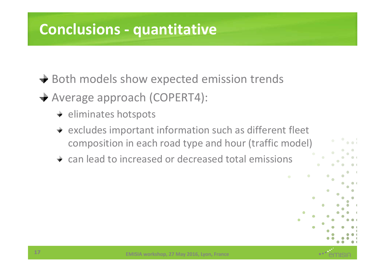# **Conclusions - quantitative**

**→ Both models show expected emission trends** 

- Average approach (COPERT4):
	- $\div$  eliminates hotspots
	- $\div$  excludes important information such as different fleet composition in each road type and hour (traffic model)
	- can lead to increased or decreased total emissions

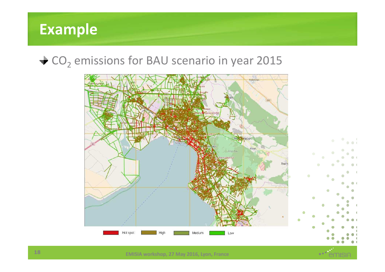## **Example**

# $\mathsf{CO}_2$  emissions for BAU scenario in year 2015



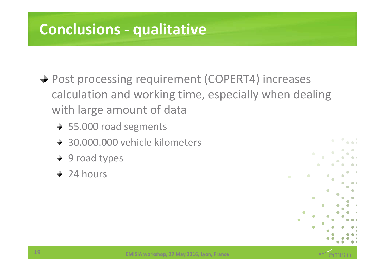# **Conclusions - qualitative**

- **→ Post processing requirement (COPERT4) increases** calculation and working time, especially when dealing with large amount of data
	- 55.000 road segments
	- 30.000.000 vehicle kilometers
	- + 9 road types
	- $+24$  hours